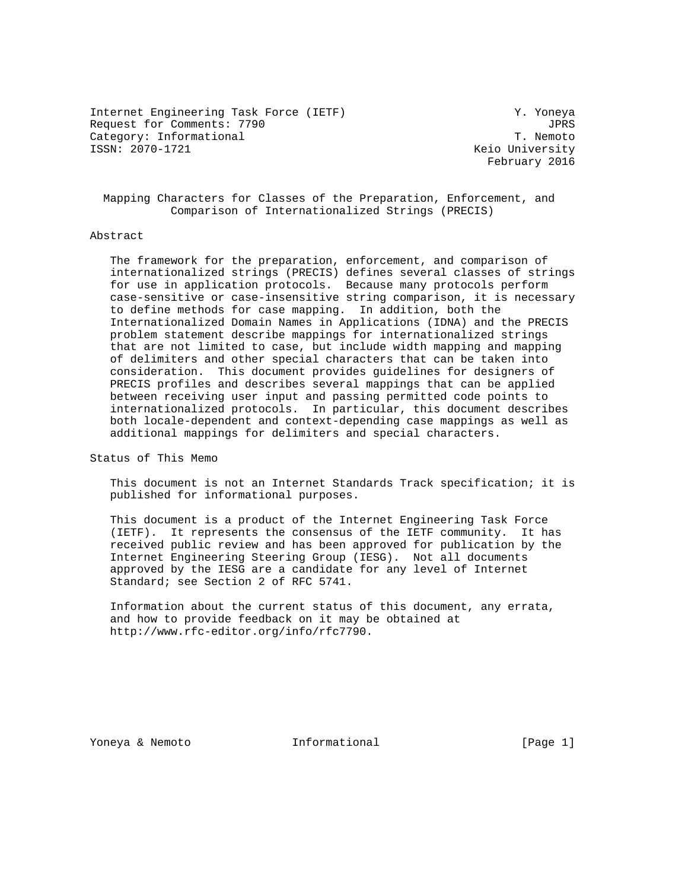Internet Engineering Task Force (IETF) Y. Yoneya Request for Comments: 7790 JPRS<br>Category: Informational Gategory: Informational JPRS Category: Informational<br>ISSN: 2070-1721

Keio University February 2016

 Mapping Characters for Classes of the Preparation, Enforcement, and Comparison of Internationalized Strings (PRECIS)

## Abstract

 The framework for the preparation, enforcement, and comparison of internationalized strings (PRECIS) defines several classes of strings for use in application protocols. Because many protocols perform case-sensitive or case-insensitive string comparison, it is necessary to define methods for case mapping. In addition, both the Internationalized Domain Names in Applications (IDNA) and the PRECIS problem statement describe mappings for internationalized strings that are not limited to case, but include width mapping and mapping of delimiters and other special characters that can be taken into consideration. This document provides guidelines for designers of PRECIS profiles and describes several mappings that can be applied between receiving user input and passing permitted code points to internationalized protocols. In particular, this document describes both locale-dependent and context-depending case mappings as well as additional mappings for delimiters and special characters.

Status of This Memo

 This document is not an Internet Standards Track specification; it is published for informational purposes.

 This document is a product of the Internet Engineering Task Force (IETF). It represents the consensus of the IETF community. It has received public review and has been approved for publication by the Internet Engineering Steering Group (IESG). Not all documents approved by the IESG are a candidate for any level of Internet Standard; see Section 2 of RFC 5741.

 Information about the current status of this document, any errata, and how to provide feedback on it may be obtained at http://www.rfc-editor.org/info/rfc7790.

Yoneya & Nemoto  $I_n$  Informational [Page 1]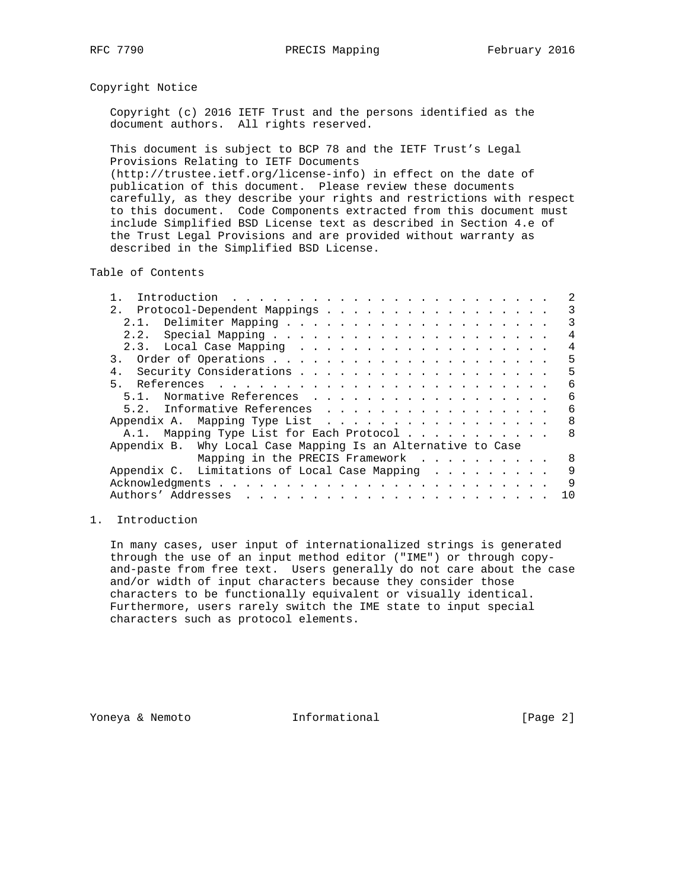### Copyright Notice

 Copyright (c) 2016 IETF Trust and the persons identified as the document authors. All rights reserved.

 This document is subject to BCP 78 and the IETF Trust's Legal Provisions Relating to IETF Documents (http://trustee.ietf.org/license-info) in effect on the date of publication of this document. Please review these documents carefully, as they describe your rights and restrictions with respect to this document. Code Components extracted from this document must include Simplified BSD License text as described in Section 4.e of the Trust Legal Provisions and are provided without warranty as described in the Simplified BSD License.

Table of Contents

| 2. Protocol-Dependent Mappings                               | 3  |
|--------------------------------------------------------------|----|
|                                                              | 3  |
|                                                              | 4  |
|                                                              | 4  |
|                                                              | 5  |
|                                                              | 5  |
| 5 <sub>1</sub>                                               | 6  |
| 5.1. Normative References                                    | 6  |
| 5.2. Informative References                                  | 6  |
| Appendix A. Mapping Type List                                | 8  |
| A.1. Mapping Type List for Each Protocol                     | 8  |
| Appendix B. Why Local Case Mapping Is an Alternative to Case |    |
| Mapping in the PRECIS Framework                              | 8  |
| Appendix C. Limitations of Local Case Mapping                | 9  |
|                                                              | 9  |
|                                                              | 10 |

### 1. Introduction

 In many cases, user input of internationalized strings is generated through the use of an input method editor ("IME") or through copy and-paste from free text. Users generally do not care about the case and/or width of input characters because they consider those characters to be functionally equivalent or visually identical. Furthermore, users rarely switch the IME state to input special characters such as protocol elements.

Yoneya & Nemoto **Informational Informational** [Page 2]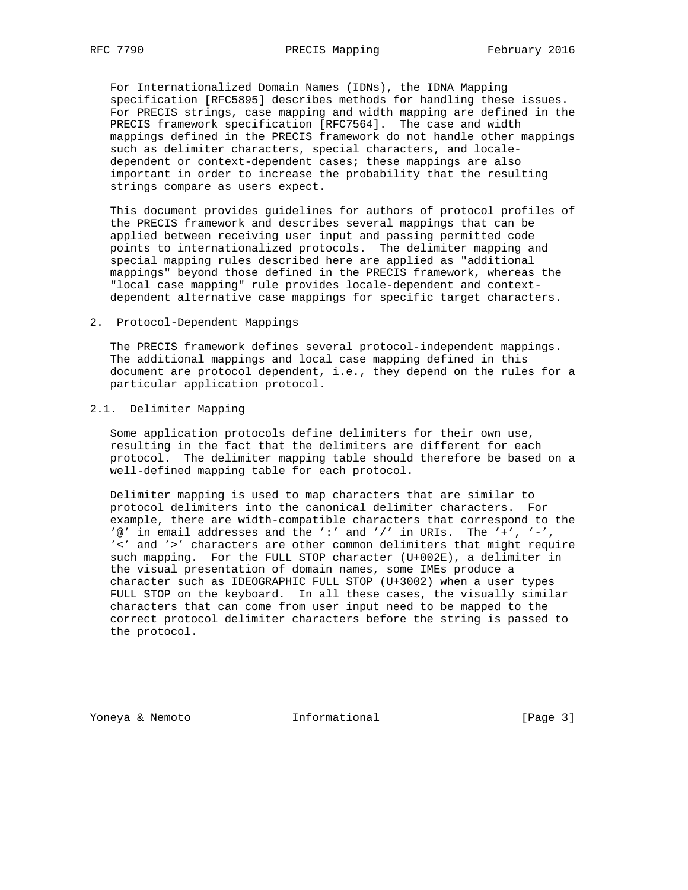For Internationalized Domain Names (IDNs), the IDNA Mapping specification [RFC5895] describes methods for handling these issues. For PRECIS strings, case mapping and width mapping are defined in the PRECIS framework specification [RFC7564]. The case and width mappings defined in the PRECIS framework do not handle other mappings such as delimiter characters, special characters, and locale dependent or context-dependent cases; these mappings are also important in order to increase the probability that the resulting strings compare as users expect.

 This document provides guidelines for authors of protocol profiles of the PRECIS framework and describes several mappings that can be applied between receiving user input and passing permitted code points to internationalized protocols. The delimiter mapping and special mapping rules described here are applied as "additional mappings" beyond those defined in the PRECIS framework, whereas the "local case mapping" rule provides locale-dependent and context dependent alternative case mappings for specific target characters.

2. Protocol-Dependent Mappings

 The PRECIS framework defines several protocol-independent mappings. The additional mappings and local case mapping defined in this document are protocol dependent, i.e., they depend on the rules for a particular application protocol.

### 2.1. Delimiter Mapping

 Some application protocols define delimiters for their own use, resulting in the fact that the delimiters are different for each protocol. The delimiter mapping table should therefore be based on a well-defined mapping table for each protocol.

 Delimiter mapping is used to map characters that are similar to protocol delimiters into the canonical delimiter characters. For example, there are width-compatible characters that correspond to the  $'@'$  in email addresses and the ':' and '/' in URIs. The '+', '-', '<' and '>' characters are other common delimiters that might require such mapping. For the FULL STOP character (U+002E), a delimiter in the visual presentation of domain names, some IMEs produce a character such as IDEOGRAPHIC FULL STOP (U+3002) when a user types FULL STOP on the keyboard. In all these cases, the visually similar characters that can come from user input need to be mapped to the correct protocol delimiter characters before the string is passed to the protocol.

Yoneya & Nemoto **Informational Informational** [Page 3]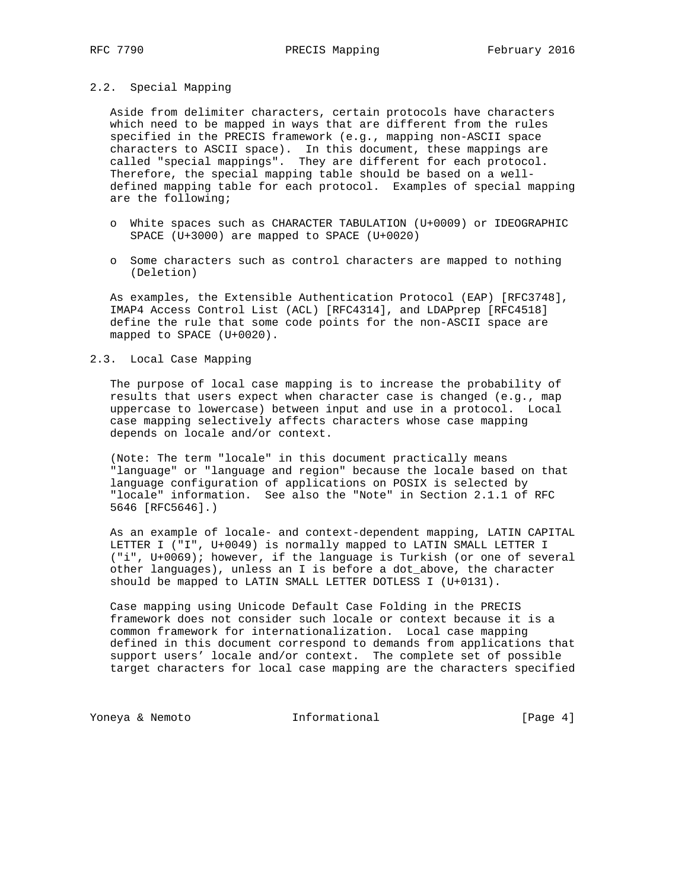#### 2.2. Special Mapping

 Aside from delimiter characters, certain protocols have characters which need to be mapped in ways that are different from the rules specified in the PRECIS framework (e.g., mapping non-ASCII space characters to ASCII space). In this document, these mappings are called "special mappings". They are different for each protocol. Therefore, the special mapping table should be based on a well defined mapping table for each protocol. Examples of special mapping are the following;

- o White spaces such as CHARACTER TABULATION (U+0009) or IDEOGRAPHIC SPACE (U+3000) are mapped to SPACE (U+0020)
- o Some characters such as control characters are mapped to nothing (Deletion)

 As examples, the Extensible Authentication Protocol (EAP) [RFC3748], IMAP4 Access Control List (ACL) [RFC4314], and LDAPprep [RFC4518] define the rule that some code points for the non-ASCII space are mapped to SPACE (U+0020).

#### 2.3. Local Case Mapping

 The purpose of local case mapping is to increase the probability of results that users expect when character case is changed (e.g., map uppercase to lowercase) between input and use in a protocol. Local case mapping selectively affects characters whose case mapping depends on locale and/or context.

 (Note: The term "locale" in this document practically means "language" or "language and region" because the locale based on that language configuration of applications on POSIX is selected by "locale" information. See also the "Note" in Section 2.1.1 of RFC 5646 [RFC5646].)

 As an example of locale- and context-dependent mapping, LATIN CAPITAL LETTER I ("I", U+0049) is normally mapped to LATIN SMALL LETTER I ("i", U+0069); however, if the language is Turkish (or one of several other languages), unless an I is before a dot\_above, the character should be mapped to LATIN SMALL LETTER DOTLESS I (U+0131).

 Case mapping using Unicode Default Case Folding in the PRECIS framework does not consider such locale or context because it is a common framework for internationalization. Local case mapping defined in this document correspond to demands from applications that support users' locale and/or context. The complete set of possible target characters for local case mapping are the characters specified

Yoneya & Nemoto **Informational** [Page 4]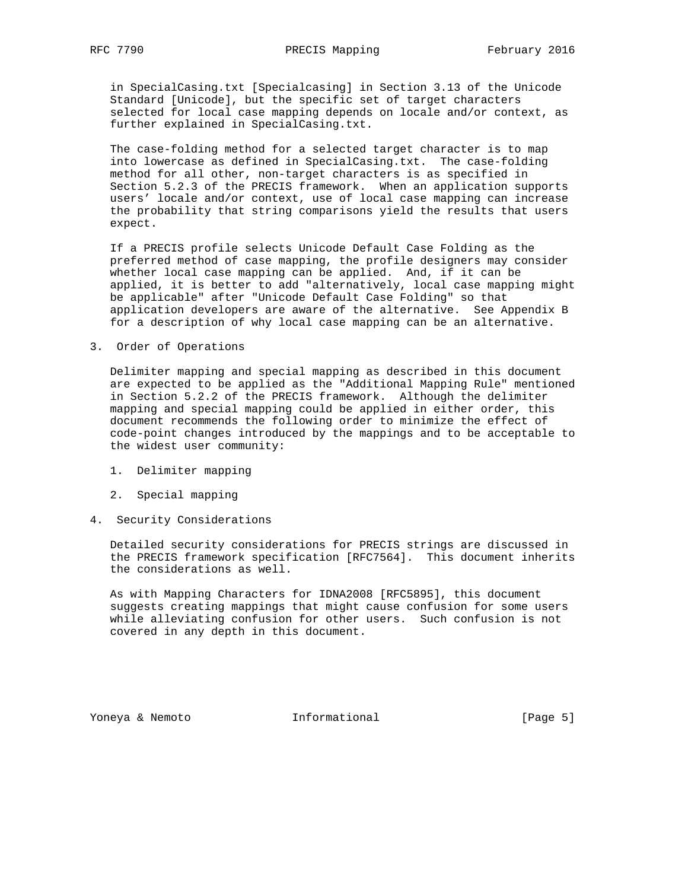in SpecialCasing.txt [Specialcasing] in Section 3.13 of the Unicode Standard [Unicode], but the specific set of target characters selected for local case mapping depends on locale and/or context, as further explained in SpecialCasing.txt.

 The case-folding method for a selected target character is to map into lowercase as defined in SpecialCasing.txt. The case-folding method for all other, non-target characters is as specified in Section 5.2.3 of the PRECIS framework. When an application supports users' locale and/or context, use of local case mapping can increase the probability that string comparisons yield the results that users expect.

 If a PRECIS profile selects Unicode Default Case Folding as the preferred method of case mapping, the profile designers may consider whether local case mapping can be applied. And, if it can be applied, it is better to add "alternatively, local case mapping might be applicable" after "Unicode Default Case Folding" so that application developers are aware of the alternative. See Appendix B for a description of why local case mapping can be an alternative.

3. Order of Operations

 Delimiter mapping and special mapping as described in this document are expected to be applied as the "Additional Mapping Rule" mentioned in Section 5.2.2 of the PRECIS framework. Although the delimiter mapping and special mapping could be applied in either order, this document recommends the following order to minimize the effect of code-point changes introduced by the mappings and to be acceptable to the widest user community:

- 1. Delimiter mapping
- 2. Special mapping
- 4. Security Considerations

 Detailed security considerations for PRECIS strings are discussed in the PRECIS framework specification [RFC7564]. This document inherits the considerations as well.

 As with Mapping Characters for IDNA2008 [RFC5895], this document suggests creating mappings that might cause confusion for some users while alleviating confusion for other users. Such confusion is not covered in any depth in this document.

Yoneya & Nemoto **Informational Informational** [Page 5]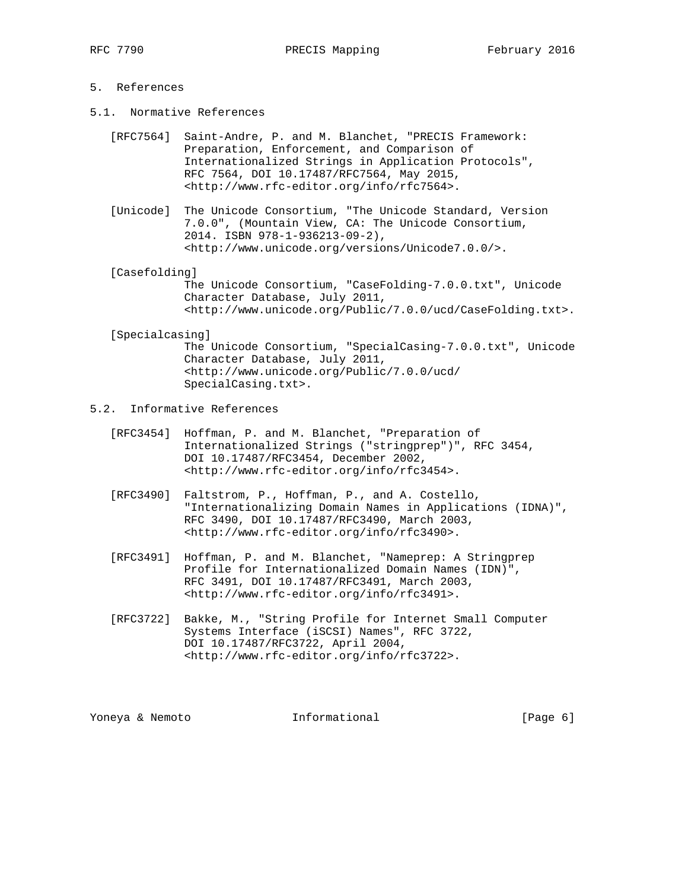# 5. References

- 5.1. Normative References
	- [RFC7564] Saint-Andre, P. and M. Blanchet, "PRECIS Framework: Preparation, Enforcement, and Comparison of Internationalized Strings in Application Protocols", RFC 7564, DOI 10.17487/RFC7564, May 2015, <http://www.rfc-editor.org/info/rfc7564>.
	- [Unicode] The Unicode Consortium, "The Unicode Standard, Version 7.0.0", (Mountain View, CA: The Unicode Consortium, 2014. ISBN 978-1-936213-09-2), <http://www.unicode.org/versions/Unicode7.0.0/>.

[Casefolding]

 The Unicode Consortium, "CaseFolding-7.0.0.txt", Unicode Character Database, July 2011, <http://www.unicode.org/Public/7.0.0/ucd/CaseFolding.txt>.

[Specialcasing]

 The Unicode Consortium, "SpecialCasing-7.0.0.txt", Unicode Character Database, July 2011, <http://www.unicode.org/Public/7.0.0/ucd/ SpecialCasing.txt>.

- 5.2. Informative References
	- [RFC3454] Hoffman, P. and M. Blanchet, "Preparation of Internationalized Strings ("stringprep")", RFC 3454, DOI 10.17487/RFC3454, December 2002, <http://www.rfc-editor.org/info/rfc3454>.
	- [RFC3490] Faltstrom, P., Hoffman, P., and A. Costello, "Internationalizing Domain Names in Applications (IDNA)", RFC 3490, DOI 10.17487/RFC3490, March 2003, <http://www.rfc-editor.org/info/rfc3490>.
	- [RFC3491] Hoffman, P. and M. Blanchet, "Nameprep: A Stringprep Profile for Internationalized Domain Names (IDN)", RFC 3491, DOI 10.17487/RFC3491, March 2003, <http://www.rfc-editor.org/info/rfc3491>.
	- [RFC3722] Bakke, M., "String Profile for Internet Small Computer Systems Interface (iSCSI) Names", RFC 3722, DOI 10.17487/RFC3722, April 2004, <http://www.rfc-editor.org/info/rfc3722>.

Yoneya & Nemoto **Informational** [Page 6]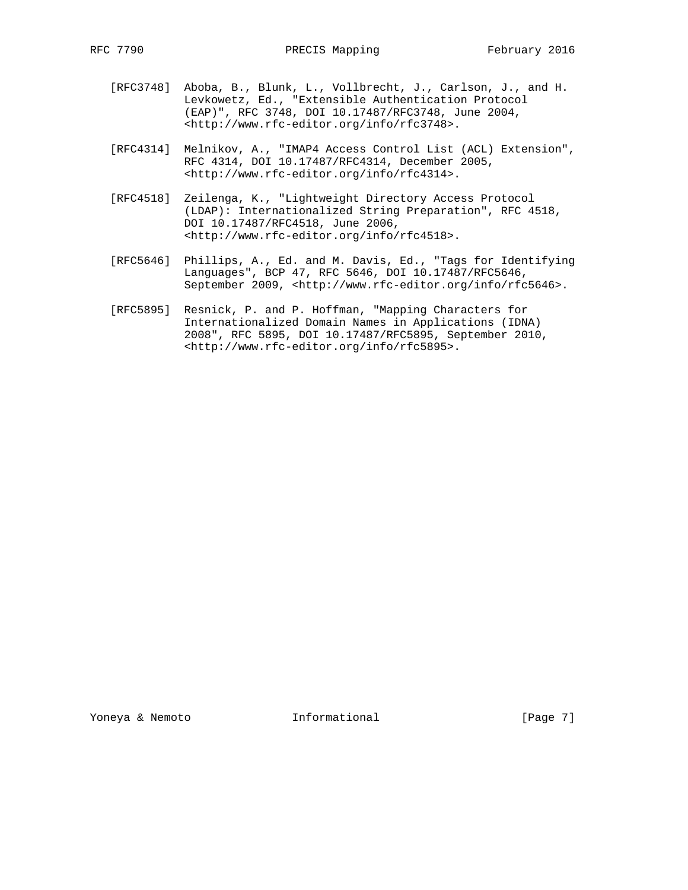- [RFC3748] Aboba, B., Blunk, L., Vollbrecht, J., Carlson, J., and H. Levkowetz, Ed., "Extensible Authentication Protocol (EAP)", RFC 3748, DOI 10.17487/RFC3748, June 2004, <http://www.rfc-editor.org/info/rfc3748>.
- [RFC4314] Melnikov, A., "IMAP4 Access Control List (ACL) Extension", RFC 4314, DOI 10.17487/RFC4314, December 2005, <http://www.rfc-editor.org/info/rfc4314>.
- [RFC4518] Zeilenga, K., "Lightweight Directory Access Protocol (LDAP): Internationalized String Preparation", RFC 4518, DOI 10.17487/RFC4518, June 2006, <http://www.rfc-editor.org/info/rfc4518>.
- [RFC5646] Phillips, A., Ed. and M. Davis, Ed., "Tags for Identifying Languages", BCP 47, RFC 5646, DOI 10.17487/RFC5646, September 2009, <http://www.rfc-editor.org/info/rfc5646>.
- [RFC5895] Resnick, P. and P. Hoffman, "Mapping Characters for Internationalized Domain Names in Applications (IDNA) 2008", RFC 5895, DOI 10.17487/RFC5895, September 2010, <http://www.rfc-editor.org/info/rfc5895>.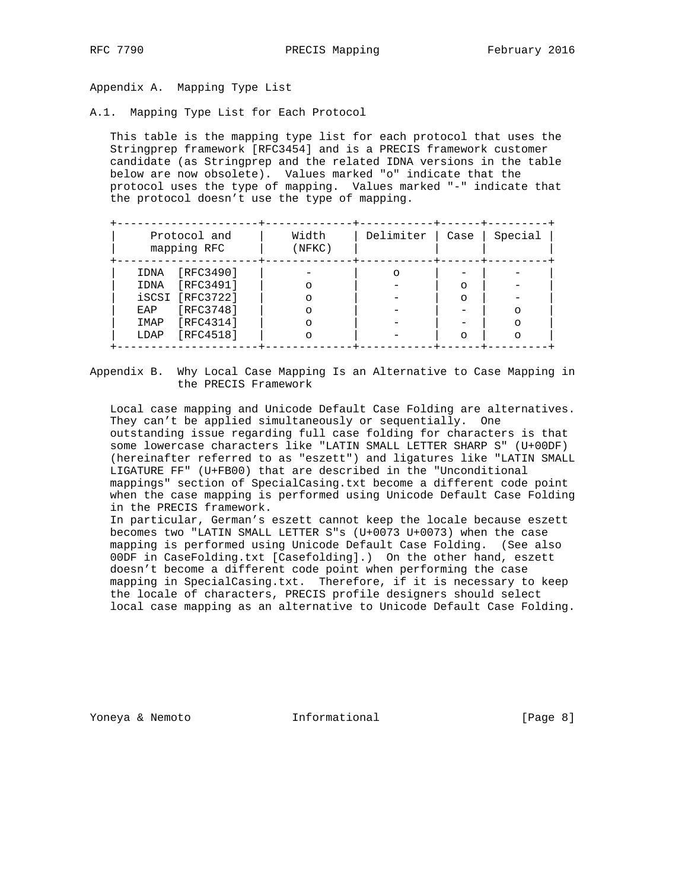Appendix A. Mapping Type List

A.1. Mapping Type List for Each Protocol

 This table is the mapping type list for each protocol that uses the Stringprep framework [RFC3454] and is a PRECIS framework customer candidate (as Stringprep and the related IDNA versions in the table below are now obsolete). Values marked "o" indicate that the protocol uses the type of mapping. Values marked "-" indicate that the protocol doesn't use the type of mapping.

| Protocol and<br>mapping RFC | Width<br>(NFKC) | Delimiter | Case    | Special |
|-----------------------------|-----------------|-----------|---------|---------|
| [RFC3490]<br>IDNA           |                 |           |         |         |
| [RFC3491]<br>IDNA           |                 |           | $\circ$ |         |
| iSCSI [RFC3722]             |                 |           | ∩       |         |
| [RFC3748]<br>EAP            |                 |           |         | ∩       |
| [RFC4314]<br>IMAP           |                 |           |         |         |
| [RFC4518]<br>LDAP           |                 |           | $\cap$  |         |

Appendix B. Why Local Case Mapping Is an Alternative to Case Mapping in the PRECIS Framework

 Local case mapping and Unicode Default Case Folding are alternatives. They can't be applied simultaneously or sequentially. One outstanding issue regarding full case folding for characters is that some lowercase characters like "LATIN SMALL LETTER SHARP S" (U+00DF) (hereinafter referred to as "eszett") and ligatures like "LATIN SMALL LIGATURE FF" (U+FB00) that are described in the "Unconditional mappings" section of SpecialCasing.txt become a different code point when the case mapping is performed using Unicode Default Case Folding in the PRECIS framework.

 In particular, German's eszett cannot keep the locale because eszett becomes two "LATIN SMALL LETTER S"s (U+0073 U+0073) when the case mapping is performed using Unicode Default Case Folding. (See also 00DF in CaseFolding.txt [Casefolding].) On the other hand, eszett doesn't become a different code point when performing the case mapping in SpecialCasing.txt. Therefore, if it is necessary to keep the locale of characters, PRECIS profile designers should select local case mapping as an alternative to Unicode Default Case Folding.

Yoneya & Nemoto **Informational Informational** [Page 8]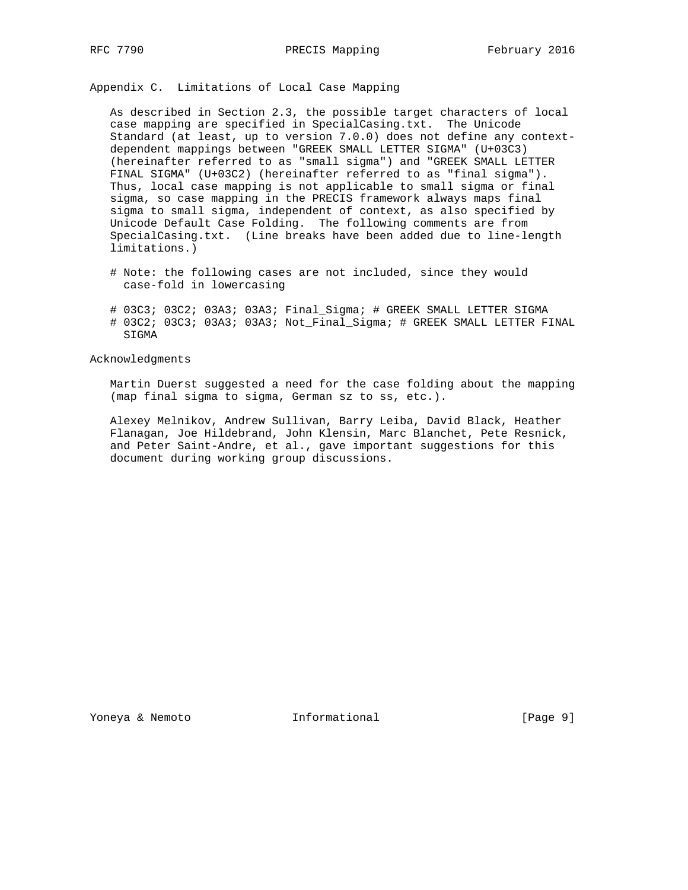Appendix C. Limitations of Local Case Mapping

 As described in Section 2.3, the possible target characters of local case mapping are specified in SpecialCasing.txt. The Unicode Standard (at least, up to version 7.0.0) does not define any context dependent mappings between "GREEK SMALL LETTER SIGMA" (U+03C3) (hereinafter referred to as "small sigma") and "GREEK SMALL LETTER FINAL SIGMA" (U+03C2) (hereinafter referred to as "final sigma"). Thus, local case mapping is not applicable to small sigma or final sigma, so case mapping in the PRECIS framework always maps final sigma to small sigma, independent of context, as also specified by Unicode Default Case Folding. The following comments are from SpecialCasing.txt. (Line breaks have been added due to line-length limitations.)

- # Note: the following cases are not included, since they would case-fold in lowercasing
- # 03C3; 03C2; 03A3; 03A3; Final\_Sigma; # GREEK SMALL LETTER SIGMA # 03C2; 03C3; 03A3; 03A3; Not\_Final\_Sigma; # GREEK SMALL LETTER FINAL SIGMA

Acknowledgments

 Martin Duerst suggested a need for the case folding about the mapping (map final sigma to sigma, German sz to ss, etc.).

 Alexey Melnikov, Andrew Sullivan, Barry Leiba, David Black, Heather Flanagan, Joe Hildebrand, John Klensin, Marc Blanchet, Pete Resnick, and Peter Saint-Andre, et al., gave important suggestions for this document during working group discussions.

Yoneya & Nemoto **Informational Informational** [Page 9]